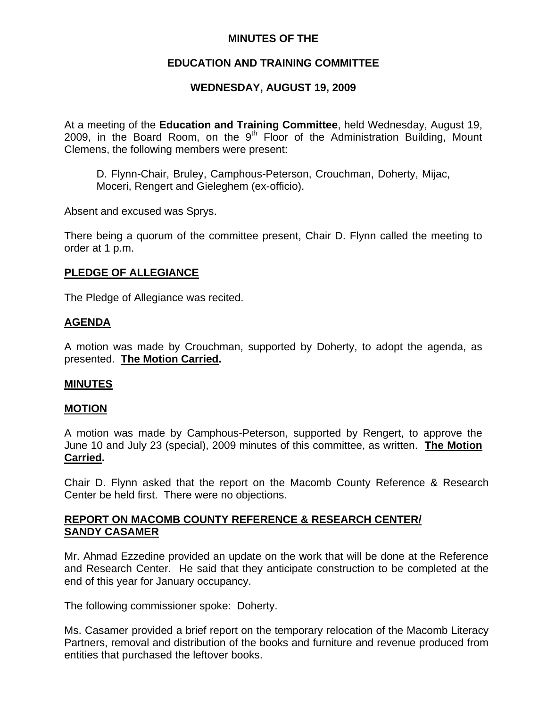## **MINUTES OF THE**

## **EDUCATION AND TRAINING COMMITTEE**

# **WEDNESDAY, AUGUST 19, 2009**

At a meeting of the **Education and Training Committee**, held Wednesday, August 19, 2009, in the Board Room, on the  $9<sup>th</sup>$  Floor of the Administration Building, Mount Clemens, the following members were present:

D. Flynn-Chair, Bruley, Camphous-Peterson, Crouchman, Doherty, Mijac, Moceri, Rengert and Gieleghem (ex-officio).

Absent and excused was Sprys.

There being a quorum of the committee present, Chair D. Flynn called the meeting to order at 1 p.m.

## **PLEDGE OF ALLEGIANCE**

The Pledge of Allegiance was recited.

### **AGENDA**

A motion was made by Crouchman, supported by Doherty, to adopt the agenda, as presented. **The Motion Carried.** 

### **MINUTES**

### **MOTION**

A motion was made by Camphous-Peterson, supported by Rengert, to approve the June 10 and July 23 (special), 2009 minutes of this committee, as written. **The Motion Carried.** 

Chair D. Flynn asked that the report on the Macomb County Reference & Research Center be held first. There were no objections.

## **REPORT ON MACOMB COUNTY REFERENCE & RESEARCH CENTER/ SANDY CASAMER**

Mr. Ahmad Ezzedine provided an update on the work that will be done at the Reference and Research Center. He said that they anticipate construction to be completed at the end of this year for January occupancy.

The following commissioner spoke: Doherty.

Ms. Casamer provided a brief report on the temporary relocation of the Macomb Literacy Partners, removal and distribution of the books and furniture and revenue produced from entities that purchased the leftover books.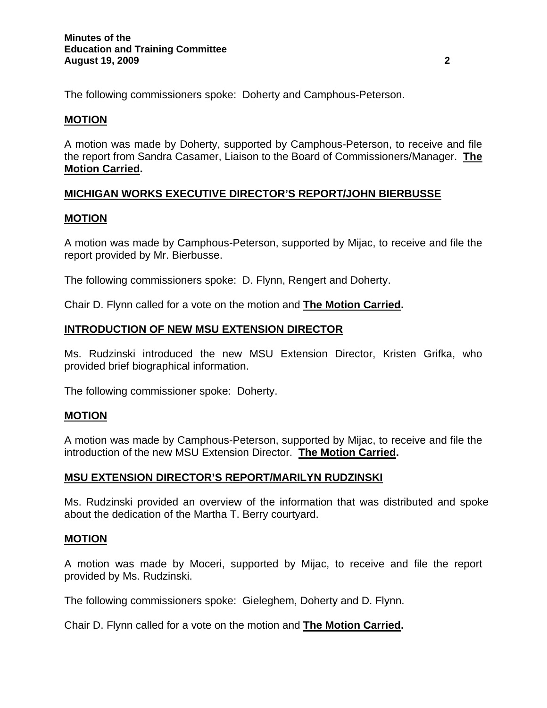The following commissioners spoke: Doherty and Camphous-Peterson.

### **MOTION**

A motion was made by Doherty, supported by Camphous-Peterson, to receive and file the report from Sandra Casamer, Liaison to the Board of Commissioners/Manager. **The Motion Carried.** 

## **MICHIGAN WORKS EXECUTIVE DIRECTOR'S REPORT/JOHN BIERBUSSE**

### **MOTION**

A motion was made by Camphous-Peterson, supported by Mijac, to receive and file the report provided by Mr. Bierbusse.

The following commissioners spoke: D. Flynn, Rengert and Doherty.

Chair D. Flynn called for a vote on the motion and **The Motion Carried.** 

### **INTRODUCTION OF NEW MSU EXTENSION DIRECTOR**

Ms. Rudzinski introduced the new MSU Extension Director, Kristen Grifka, who provided brief biographical information.

The following commissioner spoke: Doherty.

### **MOTION**

A motion was made by Camphous-Peterson, supported by Mijac, to receive and file the introduction of the new MSU Extension Director. **The Motion Carried.** 

### **MSU EXTENSION DIRECTOR'S REPORT/MARILYN RUDZINSKI**

Ms. Rudzinski provided an overview of the information that was distributed and spoke about the dedication of the Martha T. Berry courtyard.

### **MOTION**

A motion was made by Moceri, supported by Mijac, to receive and file the report provided by Ms. Rudzinski.

The following commissioners spoke: Gieleghem, Doherty and D. Flynn.

Chair D. Flynn called for a vote on the motion and **The Motion Carried.**